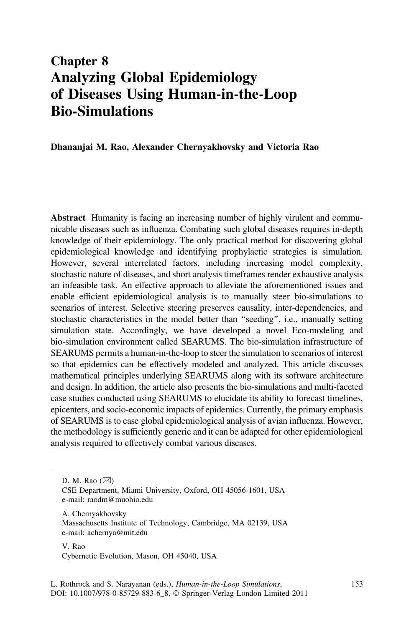# Chapter 8 Analyzing Global Epidemiology of Diseases Using Human-in-the-Loop Bio-Simulations

Dhananjai M. Rao, Alexander Chernyakhovsky and Victoria Rao

Abstract Humanity is facing an increasing number of highly virulent and communicable diseases such as influenza. Combating such global diseases requires in-depth knowledge of their epidemiology. The only practical method for discovering global epidemiological knowledge and identifying prophylactic strategies is simulation. However, several interrelated factors, including increasing model complexity, stochastic nature of diseases, and short analysis timeframes render exhaustive analysis an infeasible task. An effective approach to alleviate the aforementioned issues and enable efficient epidemiological analysis is to manually steer bio-simulations to scenarios of interest. Selective steering preserves causality, inter-dependencies, and stochastic characteristics in the model better than ''seeding'', i.e., manually setting simulation state. Accordingly, we have developed a novel Eco-modeling and bio-simulation environment called SEARUMS. The bio-simulation infrastructure of SEARUMS permits a human-in-the-loop to steer the simulation to scenarios of interest so that epidemics can be effectively modeled and analyzed. This article discusses mathematical principles underlying SEARUMS along with its software architecture and design. In addition, the article also presents the bio-simulations and multi-faceted case studies conducted using SEARUMS to elucidate its ability to forecast timelines, epicenters, and socio-economic impacts of epidemics. Currently, the primary emphasis of SEARUMS is to ease global epidemiological analysis of avian influenza. However, the methodology is sufficiently generic and it can be adapted for other epidemiological analysis required to effectively combat various diseases.

V. Rao Cybernetic Evolution, Mason, OH 45040, USA

D. M. Rao  $(\boxtimes)$ 

CSE Department, Miami University, Oxford, OH 45056-1601, USA e-mail: raodm@muohio.edu

A. Chernyakhovsky Massachusetts Institute of Technology, Cambridge, MA 02139, USA e-mail: achernya@mit.edu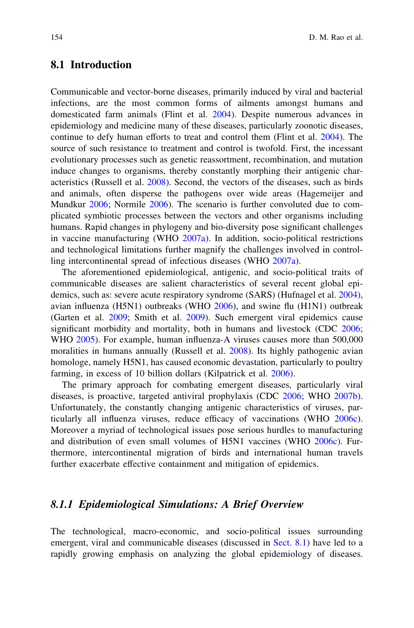# <span id="page-1-0"></span>8.1 Introduction

Communicable and vector-borne diseases, primarily induced by viral and bacterial infections, are the most common forms of ailments amongst humans and domesticated farm animals (Flint et al. [2004\)](#page-19-0). Despite numerous advances in epidemiology and medicine many of these diseases, particularly zoonotic diseases, continue to defy human efforts to treat and control them (Flint et al. [2004\)](#page-19-0). The source of such resistance to treatment and control is twofold. First, the incessant evolutionary processes such as genetic reassortment, recombination, and mutation induce changes to organisms, thereby constantly morphing their antigenic characteristics (Russell et al. [2008](#page-21-0)). Second, the vectors of the diseases, such as birds and animals, often disperse the pathogens over wide areas (Hagemeijer and Mundkur [2006;](#page-20-0) Normile [2006\)](#page-20-0). The scenario is further convoluted due to complicated symbiotic processes between the vectors and other organisms including humans. Rapid changes in phylogeny and bio-diversity pose significant challenges in vaccine manufacturing (WHO [2007a](#page-21-0)). In addition, socio-political restrictions and technological limitations further magnify the challenges involved in controlling intercontinental spread of infectious diseases (WHO [2007a\)](#page-21-0).

The aforementioned epidemiological, antigenic, and socio-political traits of communicable diseases are salient characteristics of several recent global epidemics, such as: severe acute respiratory syndrome (SARS) (Hufnagel et al. [2004\)](#page-20-0), avian influenza (H5N1) outbreaks (WHO  $2006$ ), and swine flu (H1N1) outbreak (Garten et al. [2009](#page-19-0); Smith et al. [2009\)](#page-21-0). Such emergent viral epidemics cause significant morbidity and mortality, both in humans and livestock (CDC [2006;](#page-19-0) WHO [2005\)](#page-21-0). For example, human influenza-A viruses causes more than 500,000 moralities in humans annually (Russell et al. [2008](#page-21-0)). Its highly pathogenic avian homologe, namely H5N1, has caused economic devastation, particularly to poultry farming, in excess of 10 billion dollars (Kilpatrick et al. [2006\)](#page-20-0).

The primary approach for combating emergent diseases, particularly viral diseases, is proactive, targeted antiviral prophylaxis (CDC [2006](#page-19-0); WHO [2007b\)](#page-21-0). Unfortunately, the constantly changing antigenic characteristics of viruses, particularly all influenza viruses, reduce efficacy of vaccinations (WHO [2006c\)](#page-21-0). Moreover a myriad of technological issues pose serious hurdles to manufacturing and distribution of even small volumes of H5N1 vaccines (WHO [2006c](#page-21-0)). Furthermore, intercontinental migration of birds and international human travels further exacerbate effective containment and mitigation of epidemics.

### 8.1.1 Epidemiological Simulations: A Brief Overview

The technological, macro-economic, and socio-political issues surrounding emergent, viral and communicable diseases (discussed in Sect. 8.1) have led to a rapidly growing emphasis on analyzing the global epidemiology of diseases.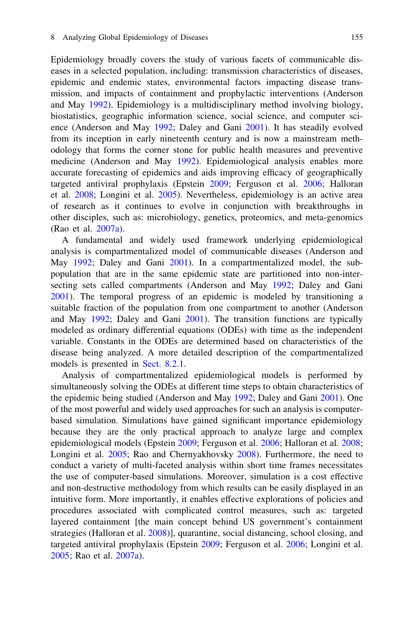Epidemiology broadly covers the study of various facets of communicable diseases in a selected population, including: transmission characteristics of diseases, epidemic and endemic states, environmental factors impacting disease transmission, and impacts of containment and prophylactic interventions (Anderson and May [1992](#page-19-0)). Epidemiology is a multidisciplinary method involving biology, biostatistics, geographic information science, social science, and computer science (Anderson and May [1992;](#page-19-0) Daley and Gani [2001\)](#page-19-0). It has steadily evolved from its inception in early nineteenth century and is now a mainstream methodology that forms the corner stone for public health measures and preventive medicine (Anderson and May [1992](#page-19-0)). Epidemiological analysis enables more accurate forecasting of epidemics and aids improving efficacy of geographically targeted antiviral prophylaxis (Epstein [2009;](#page-19-0) Ferguson et al. [2006](#page-19-0); Halloran et al. [2008](#page-20-0); Longini et al. [2005\)](#page-20-0). Nevertheless, epidemiology is an active area of research as it continues to evolve in conjunction with breakthroughs in other disciples, such as: microbiology, genetics, proteomics, and meta-genomics (Rao et al. [2007a\)](#page-20-0).

A fundamental and widely used framework underlying epidemiological analysis is compartmentalized model of communicable diseases (Anderson and May [1992;](#page-19-0) Daley and Gani [2001](#page-19-0)). In a compartmentalized model, the subpopulation that are in the same epidemic state are partitioned into non-intersecting sets called compartments (Anderson and May [1992](#page-19-0); Daley and Gani [2001\)](#page-19-0). The temporal progress of an epidemic is modeled by transitioning a suitable fraction of the population from one compartment to another (Anderson and May [1992](#page-19-0); Daley and Gani [2001\)](#page-19-0). The transition functions are typically modeled as ordinary differential equations (ODEs) with time as the independent variable. Constants in the ODEs are determined based on characteristics of the disease being analyzed. A more detailed description of the compartmentalized models is presented in [Sect. 8.2.1](#page-5-0).

Analysis of compartmentalized epidemiological models is performed by simultaneously solving the ODEs at different time steps to obtain characteristics of the epidemic being studied (Anderson and May [1992](#page-19-0); Daley and Gani [2001](#page-19-0)). One of the most powerful and widely used approaches for such an analysis is computerbased simulation. Simulations have gained significant importance epidemiology because they are the only practical approach to analyze large and complex epidemiological models (Epstein [2009;](#page-19-0) Ferguson et al. [2006;](#page-19-0) Halloran et al. [2008;](#page-20-0) Longini et al. [2005;](#page-20-0) Rao and Chernyakhovsky [2008\)](#page-20-0). Furthermore, the need to conduct a variety of multi-faceted analysis within short time frames necessitates the use of computer-based simulations. Moreover, simulation is a cost effective and non-destructive methodology from which results can be easily displayed in an intuitive form. More importantly, it enables effective explorations of policies and procedures associated with complicated control measures, such as: targeted layered containment [the main concept behind US government's containment strategies (Halloran et al. [2008](#page-20-0))], quarantine, social distancing, school closing, and targeted antiviral prophylaxis (Epstein [2009;](#page-19-0) Ferguson et al. [2006;](#page-19-0) Longini et al. [2005;](#page-20-0) Rao et al. [2007a\)](#page-20-0).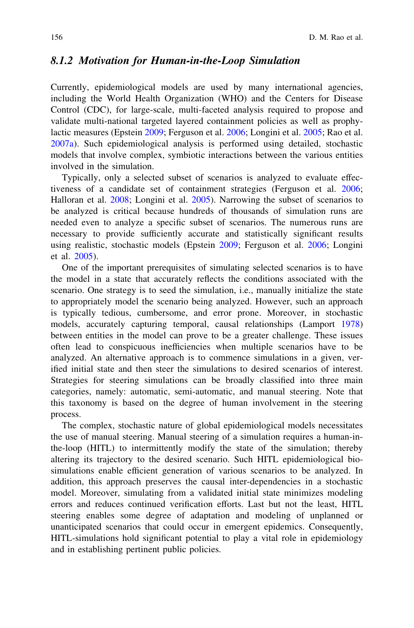#### <span id="page-3-0"></span>8.1.2 Motivation for Human-in-the-Loop Simulation

Currently, epidemiological models are used by many international agencies, including the World Health Organization (WHO) and the Centers for Disease Control (CDC), for large-scale, multi-faceted analysis required to propose and validate multi-national targeted layered containment policies as well as prophylactic measures (Epstein [2009;](#page-19-0) Ferguson et al. [2006;](#page-19-0) Longini et al. [2005](#page-20-0); Rao et al. [2007a](#page-20-0)). Such epidemiological analysis is performed using detailed, stochastic models that involve complex, symbiotic interactions between the various entities involved in the simulation.

Typically, only a selected subset of scenarios is analyzed to evaluate effectiveness of a candidate set of containment strategies (Ferguson et al. [2006;](#page-19-0) Halloran et al. [2008](#page-20-0); Longini et al. [2005\)](#page-20-0). Narrowing the subset of scenarios to be analyzed is critical because hundreds of thousands of simulation runs are needed even to analyze a specific subset of scenarios. The numerous runs are necessary to provide sufficiently accurate and statistically significant results using realistic, stochastic models (Epstein [2009;](#page-19-0) Ferguson et al. [2006;](#page-19-0) Longini et al. [2005\)](#page-20-0).

One of the important prerequisites of simulating selected scenarios is to have the model in a state that accurately reflects the conditions associated with the scenario. One strategy is to seed the simulation, i.e., manually initialize the state to appropriately model the scenario being analyzed. However, such an approach is typically tedious, cumbersome, and error prone. Moreover, in stochastic models, accurately capturing temporal, causal relationships (Lamport [1978](#page-20-0)) between entities in the model can prove to be a greater challenge. These issues often lead to conspicuous inefficiencies when multiple scenarios have to be analyzed. An alternative approach is to commence simulations in a given, verified initial state and then steer the simulations to desired scenarios of interest. Strategies for steering simulations can be broadly classified into three main categories, namely: automatic, semi-automatic, and manual steering. Note that this taxonomy is based on the degree of human involvement in the steering process.

The complex, stochastic nature of global epidemiological models necessitates the use of manual steering. Manual steering of a simulation requires a human-inthe-loop (HITL) to intermittently modify the state of the simulation; thereby altering its trajectory to the desired scenario. Such HITL epidemiological biosimulations enable efficient generation of various scenarios to be analyzed. In addition, this approach preserves the causal inter-dependencies in a stochastic model. Moreover, simulating from a validated initial state minimizes modeling errors and reduces continued verification efforts. Last but not the least, HITL steering enables some degree of adaptation and modeling of unplanned or unanticipated scenarios that could occur in emergent epidemics. Consequently, HITL-simulations hold significant potential to play a vital role in epidemiology and in establishing pertinent public policies.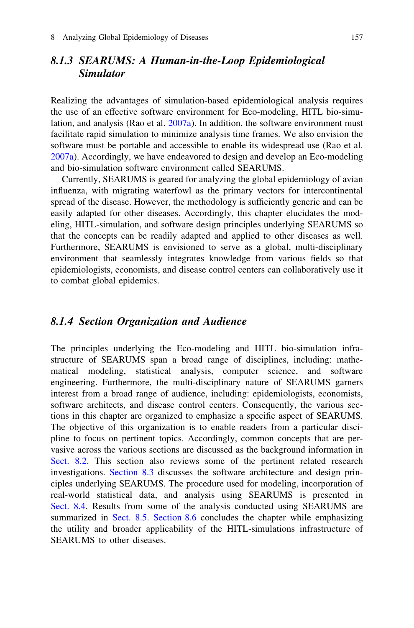# 8.1.3 SEARUMS: A Human-in-the-Loop Epidemiological Simulator

Realizing the advantages of simulation-based epidemiological analysis requires the use of an effective software environment for Eco-modeling, HITL bio-simulation, and analysis (Rao et al. [2007a](#page-20-0)). In addition, the software environment must facilitate rapid simulation to minimize analysis time frames. We also envision the software must be portable and accessible to enable its widespread use (Rao et al. [2007a](#page-20-0)). Accordingly, we have endeavored to design and develop an Eco-modeling and bio-simulation software environment called SEARUMS.

Currently, SEARUMS is geared for analyzing the global epidemiology of avian influenza, with migrating waterfowl as the primary vectors for intercontinental spread of the disease. However, the methodology is sufficiently generic and can be easily adapted for other diseases. Accordingly, this chapter elucidates the modeling, HITL-simulation, and software design principles underlying SEARUMS so that the concepts can be readily adapted and applied to other diseases as well. Furthermore, SEARUMS is envisioned to serve as a global, multi-disciplinary environment that seamlessly integrates knowledge from various fields so that epidemiologists, economists, and disease control centers can collaboratively use it to combat global epidemics.

#### 8.1.4 Section Organization and Audience

The principles underlying the Eco-modeling and HITL bio-simulation infrastructure of SEARUMS span a broad range of disciplines, including: mathematical modeling, statistical analysis, computer science, and software engineering. Furthermore, the multi-disciplinary nature of SEARUMS garners interest from a broad range of audience, including: epidemiologists, economists, software architects, and disease control centers. Consequently, the various sections in this chapter are organized to emphasize a specific aspect of SEARUMS. The objective of this organization is to enable readers from a particular discipline to focus on pertinent topics. Accordingly, common concepts that are pervasive across the various sections are discussed as the background information in [Sect. 8.2](#page-5-0). This section also reviews some of the pertinent related research investigations. [Section 8.3](#page-11-0) discusses the software architecture and design principles underlying SEARUMS. The procedure used for modeling, incorporation of real-world statistical data, and analysis using SEARUMS is presented in [Sect. 8.4.](#page-15-0) Results from some of the analysis conducted using SEARUMS are summarized in [Sect. 8.5](#page-17-0). [Section 8.6](#page-18-0) concludes the chapter while emphasizing the utility and broader applicability of the HITL-simulations infrastructure of SEARUMS to other diseases.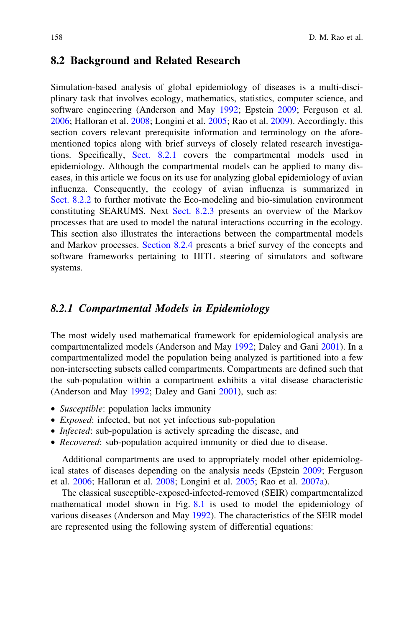## <span id="page-5-0"></span>8.2 Background and Related Research

Simulation-based analysis of global epidemiology of diseases is a multi-disciplinary task that involves ecology, mathematics, statistics, computer science, and software engineering (Anderson and May [1992](#page-19-0); Epstein [2009;](#page-19-0) Ferguson et al. [2006;](#page-19-0) Halloran et al. [2008](#page-20-0); Longini et al. [2005](#page-20-0); Rao et al. [2009\)](#page-21-0). Accordingly, this section covers relevant prerequisite information and terminology on the aforementioned topics along with brief surveys of closely related research investigations. Specifically, Sect. 8.2.1 covers the compartmental models used in epidemiology. Although the compartmental models can be applied to many diseases, in this article we focus on its use for analyzing global epidemiology of avian influenza. Consequently, the ecology of avian influenza is summarized in [Sect. 8.2.2](#page-7-0) to further motivate the Eco-modeling and bio-simulation environment constituting SEARUMS. Next [Sect. 8.2.3](#page-8-0) presents an overview of the Markov processes that are used to model the natural interactions occurring in the ecology. This section also illustrates the interactions between the compartmental models and Markov processes. [Section 8.2.4](#page-9-0) presents a brief survey of the concepts and software frameworks pertaining to HITL steering of simulators and software systems.

# 8.2.1 Compartmental Models in Epidemiology

The most widely used mathematical framework for epidemiological analysis are compartmentalized models (Anderson and May [1992](#page-19-0); Daley and Gani [2001](#page-19-0)). In a compartmentalized model the population being analyzed is partitioned into a few non-intersecting subsets called compartments. Compartments are defined such that the sub-population within a compartment exhibits a vital disease characteristic (Anderson and May [1992;](#page-19-0) Daley and Gani [2001\)](#page-19-0), such as:

- Susceptible: population lacks immunity
- *Exposed*: infected, but not yet infectious sub-population
- *Infected*: sub-population is actively spreading the disease, and
- *Recovered*: sub-population acquired immunity or died due to disease.

Additional compartments are used to appropriately model other epidemiological states of diseases depending on the analysis needs (Epstein [2009;](#page-19-0) Ferguson et al. [2006;](#page-19-0) Halloran et al. [2008;](#page-20-0) Longini et al. [2005](#page-20-0); Rao et al. [2007a](#page-20-0)).

The classical susceptible-exposed-infected-removed (SEIR) compartmentalized mathematical model shown in Fig. [8.1](#page-6-0) is used to model the epidemiology of various diseases (Anderson and May [1992\)](#page-19-0). The characteristics of the SEIR model are represented using the following system of differential equations: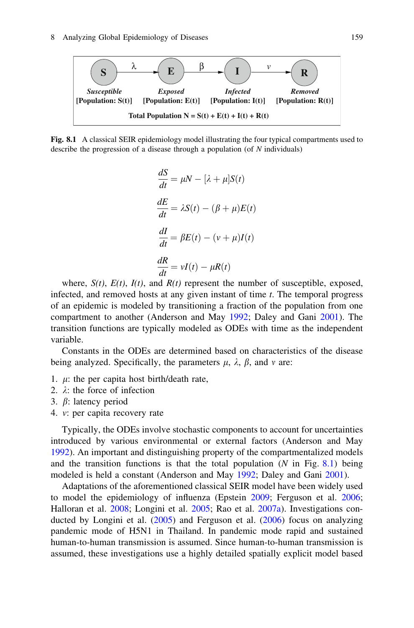<span id="page-6-0"></span>

Fig. 8.1 A classical SEIR epidemiology model illustrating the four typical compartments used to describe the progression of a disease through a population (of  $N$  individuals)

$$
\frac{dS}{dt} = \mu N - [\lambda + \mu]S(t)
$$

$$
\frac{dE}{dt} = \lambda S(t) - (\beta + \mu)E(t)
$$

$$
\frac{dI}{dt} = \beta E(t) - (\nu + \mu)I(t)
$$

$$
\frac{dR}{dt} = \nu I(t) - \mu R(t)
$$

where,  $S(t)$ ,  $E(t)$ ,  $I(t)$ , and  $R(t)$  represent the number of susceptible, exposed, infected, and removed hosts at any given instant of time t. The temporal progress of an epidemic is modeled by transitioning a fraction of the population from one compartment to another (Anderson and May [1992;](#page-19-0) Daley and Gani [2001](#page-19-0)). The transition functions are typically modeled as ODEs with time as the independent variable.

Constants in the ODEs are determined based on characteristics of the disease being analyzed. Specifically, the parameters  $\mu$ ,  $\lambda$ ,  $\beta$ , and v are:

- 1.  $\mu$ : the per capita host birth/death rate,
- 2.  $\lambda$ : the force of infection
- 3.  $\beta$ : latency period
- 4. v: per capita recovery rate

Typically, the ODEs involve stochastic components to account for uncertainties introduced by various environmental or external factors (Anderson and May [1992\)](#page-19-0). An important and distinguishing property of the compartmentalized models and the transition functions is that the total population  $(N \text{ in Fig. 8.1})$  being modeled is held a constant (Anderson and May [1992;](#page-19-0) Daley and Gani [2001](#page-19-0)).

Adaptations of the aforementioned classical SEIR model have been widely used to model the epidemiology of influenza (Epstein [2009](#page-19-0); Ferguson et al. [2006;](#page-19-0) Halloran et al. [2008;](#page-20-0) Longini et al. [2005](#page-20-0); Rao et al. [2007a](#page-20-0)). Investigations conducted by Longini et al. [\(2005](#page-20-0)) and Ferguson et al. [\(2006](#page-19-0)) focus on analyzing pandemic mode of H5N1 in Thailand. In pandemic mode rapid and sustained human-to-human transmission is assumed. Since human-to-human transmission is assumed, these investigations use a highly detailed spatially explicit model based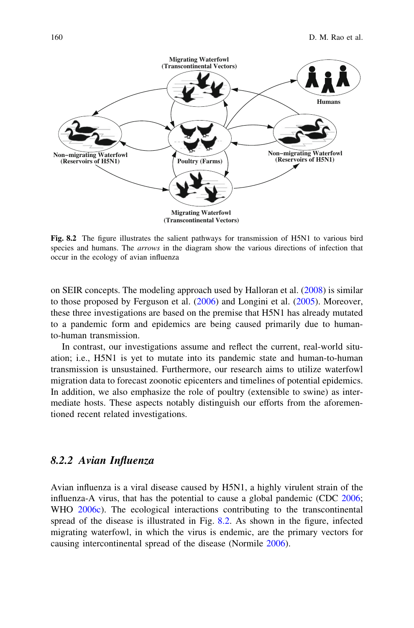<span id="page-7-0"></span>

Fig. 8.2 The figure illustrates the salient pathways for transmission of H5N1 to various bird species and humans. The *arrows* in the diagram show the various directions of infection that occur in the ecology of avian influenza

on SEIR concepts. The modeling approach used by Halloran et al. ([2008\)](#page-20-0) is similar to those proposed by Ferguson et al. ([2006\)](#page-19-0) and Longini et al. ([2005\)](#page-20-0). Moreover, these three investigations are based on the premise that H5N1 has already mutated to a pandemic form and epidemics are being caused primarily due to humanto-human transmission.

In contrast, our investigations assume and reflect the current, real-world situation; i.e., H5N1 is yet to mutate into its pandemic state and human-to-human transmission is unsustained. Furthermore, our research aims to utilize waterfowl migration data to forecast zoonotic epicenters and timelines of potential epidemics. In addition, we also emphasize the role of poultry (extensible to swine) as intermediate hosts. These aspects notably distinguish our efforts from the aforementioned recent related investigations.

#### 8.2.2 Avian Influenza

Avian influenza is a viral disease caused by H5N1, a highly virulent strain of the influenza-A virus, that has the potential to cause a global pandemic (CDC [2006;](#page-19-0) WHO [2006c](#page-21-0)). The ecological interactions contributing to the transcontinental spread of the disease is illustrated in Fig. 8.2. As shown in the figure, infected migrating waterfowl, in which the virus is endemic, are the primary vectors for causing intercontinental spread of the disease (Normile [2006\)](#page-20-0).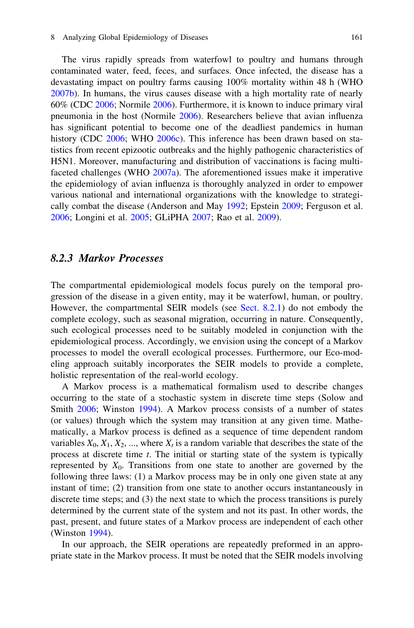<span id="page-8-0"></span>The virus rapidly spreads from waterfowl to poultry and humans through contaminated water, feed, feces, and surfaces. Once infected, the disease has a devastating impact on poultry farms causing 100% mortality within 48 h (WHO [2007b\)](#page-21-0). In humans, the virus causes disease with a high mortality rate of nearly 60% (CDC [2006](#page-19-0); Normile [2006](#page-20-0)). Furthermore, it is known to induce primary viral pneumonia in the host (Normile [2006](#page-20-0)). Researchers believe that avian influenza has significant potential to become one of the deadliest pandemics in human history (CDC [2006;](#page-19-0) WHO [2006c](#page-21-0)). This inference has been drawn based on statistics from recent epizootic outbreaks and the highly pathogenic characteristics of H5N1. Moreover, manufacturing and distribution of vaccinations is facing multifaceted challenges (WHO [2007a\)](#page-21-0). The aforementioned issues make it imperative the epidemiology of avian influenza is thoroughly analyzed in order to empower various national and international organizations with the knowledge to strategically combat the disease (Anderson and May [1992](#page-19-0); Epstein [2009](#page-19-0); Ferguson et al. [2006;](#page-19-0) Longini et al. [2005;](#page-20-0) GLiPHA [2007](#page-20-0); Rao et al. [2009](#page-20-0)).

#### 8.2.3 Markov Processes

The compartmental epidemiological models focus purely on the temporal progression of the disease in a given entity, may it be waterfowl, human, or poultry. However, the compartmental SEIR models (see [Sect. 8.2.1](#page-5-0)) do not embody the complete ecology, such as seasonal migration, occurring in nature. Consequently, such ecological processes need to be suitably modeled in conjunction with the epidemiological process. Accordingly, we envision using the concept of a Markov processes to model the overall ecological processes. Furthermore, our Eco-modeling approach suitably incorporates the SEIR models to provide a complete, holistic representation of the real-world ecology.

A Markov process is a mathematical formalism used to describe changes occurring to the state of a stochastic system in discrete time steps (Solow and Smith [2006;](#page-21-0) Winston [1994](#page-21-0)). A Markov process consists of a number of states (or values) through which the system may transition at any given time. Mathematically, a Markov process is defined as a sequence of time dependent random variables  $X_0, X_1, X_2, \ldots$ , where  $X_t$  is a random variable that describes the state of the process at discrete time t. The initial or starting state of the system is typically represented by  $X_0$ . Transitions from one state to another are governed by the following three laws: (1) a Markov process may be in only one given state at any instant of time; (2) transition from one state to another occurs instantaneously in discrete time steps; and (3) the next state to which the process transitions is purely determined by the current state of the system and not its past. In other words, the past, present, and future states of a Markov process are independent of each other (Winston [1994](#page-21-0)).

In our approach, the SEIR operations are repeatedly preformed in an appropriate state in the Markov process. It must be noted that the SEIR models involving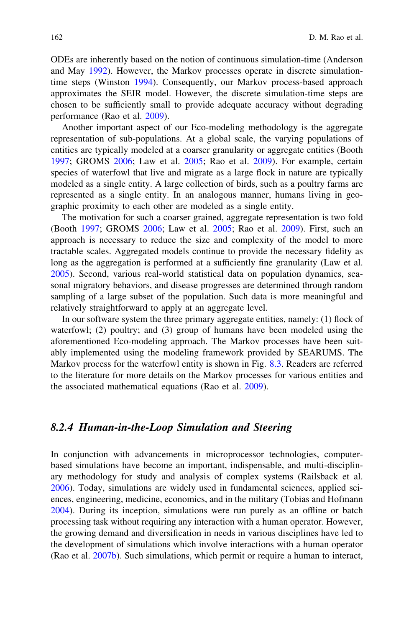<span id="page-9-0"></span>ODEs are inherently based on the notion of continuous simulation-time (Anderson and May [1992](#page-19-0)). However, the Markov processes operate in discrete simulationtime steps (Winston [1994](#page-21-0)). Consequently, our Markov process-based approach approximates the SEIR model. However, the discrete simulation-time steps are chosen to be sufficiently small to provide adequate accuracy without degrading performance (Rao et al. [2009](#page-21-0)).

Another important aspect of our Eco-modeling methodology is the aggregate representation of sub-populations. At a global scale, the varying populations of entities are typically modeled at a coarser granularity or aggregate entities (Booth [1997;](#page-19-0) GROMS [2006;](#page-20-0) Law et al. [2005;](#page-20-0) Rao et al. [2009\)](#page-21-0). For example, certain species of waterfowl that live and migrate as a large flock in nature are typically modeled as a single entity. A large collection of birds, such as a poultry farms are represented as a single entity. In an analogous manner, humans living in geographic proximity to each other are modeled as a single entity.

The motivation for such a coarser grained, aggregate representation is two fold (Booth [1997;](#page-19-0) GROMS [2006](#page-20-0); Law et al. [2005](#page-20-0); Rao et al. [2009\)](#page-21-0). First, such an approach is necessary to reduce the size and complexity of the model to more tractable scales. Aggregated models continue to provide the necessary fidelity as long as the aggregation is performed at a sufficiently fine granularity (Law et al. [2005\)](#page-20-0). Second, various real-world statistical data on population dynamics, seasonal migratory behaviors, and disease progresses are determined through random sampling of a large subset of the population. Such data is more meaningful and relatively straightforward to apply at an aggregate level.

In our software system the three primary aggregate entities, namely: (1) flock of waterfowl; (2) poultry; and (3) group of humans have been modeled using the aforementioned Eco-modeling approach. The Markov processes have been suitably implemented using the modeling framework provided by SEARUMS. The Markov process for the waterfowl entity is shown in Fig. [8.3.](#page-10-0) Readers are referred to the literature for more details on the Markov processes for various entities and the associated mathematical equations (Rao et al. [2009\)](#page-21-0).

#### 8.2.4 Human-in-the-Loop Simulation and Steering

In conjunction with advancements in microprocessor technologies, computerbased simulations have become an important, indispensable, and multi-disciplinary methodology for study and analysis of complex systems (Railsback et al. [2006\)](#page-20-0). Today, simulations are widely used in fundamental sciences, applied sciences, engineering, medicine, economics, and in the military (Tobias and Hofmann [2004\)](#page-21-0). During its inception, simulations were run purely as an offline or batch processing task without requiring any interaction with a human operator. However, the growing demand and diversification in needs in various disciplines have led to the development of simulations which involve interactions with a human operator (Rao et al. [2007b\)](#page-20-0). Such simulations, which permit or require a human to interact,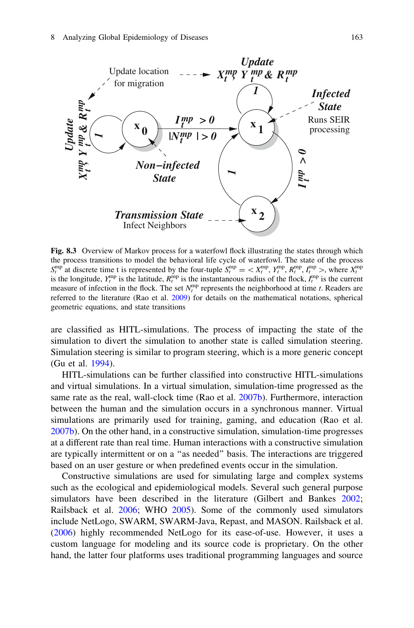<span id="page-10-0"></span>

Fig. 8.3 Overview of Markov process for a waterfowl flock illustrating the states through which the process transitions to model the behavioral life cycle of waterfowl. The state of the process  $S_t^{\text{mp}}$  at discrete time t is represented by the four-tuple  $S_t^{\text{mp}} = \langle X_t^{\text{mp}}, Y_t^{\text{mp}}, R_t^{\text{mp}}, R_t^{\text{mp}}, \dots \rangle$ , where  $X_t^{\text{mp}}$ is the longitude,  $Y_t^{\text{mp}}$  is the latitude,  $R_t^{\text{mp}}$  is the instantaneous radius of the flock,  $I_t^{\text{mp}}$  is the current measure of infection in the flock. The set  $N_t^{\text{mp}}$  represents the neighborhood at time t. Readers are referred to the literature (Rao et al. [2009](#page-21-0)) for details on the mathematical notations, spherical geometric equations, and state transitions

are classified as HITL-simulations. The process of impacting the state of the simulation to divert the simulation to another state is called simulation steering. Simulation steering is similar to program steering, which is a more generic concept (Gu et al. [1994](#page-20-0)).

HITL-simulations can be further classified into constructive HITL-simulations and virtual simulations. In a virtual simulation, simulation-time progressed as the same rate as the real, wall-clock time (Rao et al. [2007b](#page-20-0)). Furthermore, interaction between the human and the simulation occurs in a synchronous manner. Virtual simulations are primarily used for training, gaming, and education (Rao et al. [2007b\)](#page-20-0). On the other hand, in a constructive simulation, simulation-time progresses at a different rate than real time. Human interactions with a constructive simulation are typically intermittent or on a ''as needed'' basis. The interactions are triggered based on an user gesture or when predefined events occur in the simulation.

Constructive simulations are used for simulating large and complex systems such as the ecological and epidemiological models. Several such general purpose simulators have been described in the literature (Gilbert and Bankes [2002;](#page-20-0) Railsback et al. [2006;](#page-20-0) WHO [2005\)](#page-21-0). Some of the commonly used simulators include NetLogo, SWARM, SWARM-Java, Repast, and MASON. Railsback et al. [\(2006](#page-20-0)) highly recommended NetLogo for its ease-of-use. However, it uses a custom language for modeling and its source code is proprietary. On the other hand, the latter four platforms uses traditional programming languages and source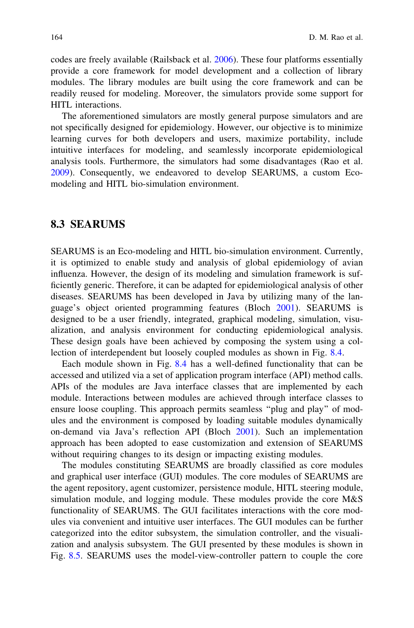<span id="page-11-0"></span>codes are freely available (Railsback et al. [2006\)](#page-20-0). These four platforms essentially provide a core framework for model development and a collection of library modules. The library modules are built using the core framework and can be readily reused for modeling. Moreover, the simulators provide some support for HITL interactions.

The aforementioned simulators are mostly general purpose simulators and are not specifically designed for epidemiology. However, our objective is to minimize learning curves for both developers and users, maximize portability, include intuitive interfaces for modeling, and seamlessly incorporate epidemiological analysis tools. Furthermore, the simulators had some disadvantages (Rao et al. [2009\)](#page-21-0). Consequently, we endeavored to develop SEARUMS, a custom Ecomodeling and HITL bio-simulation environment.

#### 8.3 SEARUMS

SEARUMS is an Eco-modeling and HITL bio-simulation environment. Currently, it is optimized to enable study and analysis of global epidemiology of avian influenza. However, the design of its modeling and simulation framework is sufficiently generic. Therefore, it can be adapted for epidemiological analysis of other diseases. SEARUMS has been developed in Java by utilizing many of the language's object oriented programming features (Bloch [2001](#page-19-0)). SEARUMS is designed to be a user friendly, integrated, graphical modeling, simulation, visualization, and analysis environment for conducting epidemiological analysis. These design goals have been achieved by composing the system using a collection of interdependent but loosely coupled modules as shown in Fig. [8.4](#page-12-0).

Each module shown in Fig. [8.4](#page-12-0) has a well-defined functionality that can be accessed and utilized via a set of application program interface (API) method calls. APIs of the modules are Java interface classes that are implemented by each module. Interactions between modules are achieved through interface classes to ensure loose coupling. This approach permits seamless ''plug and play'' of modules and the environment is composed by loading suitable modules dynamically on-demand via Java's reflection API (Bloch [2001\)](#page-19-0). Such an implementation approach has been adopted to ease customization and extension of SEARUMS without requiring changes to its design or impacting existing modules.

The modules constituting SEARUMS are broadly classified as core modules and graphical user interface (GUI) modules. The core modules of SEARUMS are the agent repository, agent customizer, persistence module, HITL steering module, simulation module, and logging module. These modules provide the core M&S functionality of SEARUMS. The GUI facilitates interactions with the core modules via convenient and intuitive user interfaces. The GUI modules can be further categorized into the editor subsystem, the simulation controller, and the visualization and analysis subsystem. The GUI presented by these modules is shown in Fig. [8.5](#page-12-0). SEARUMS uses the model-view-controller pattern to couple the core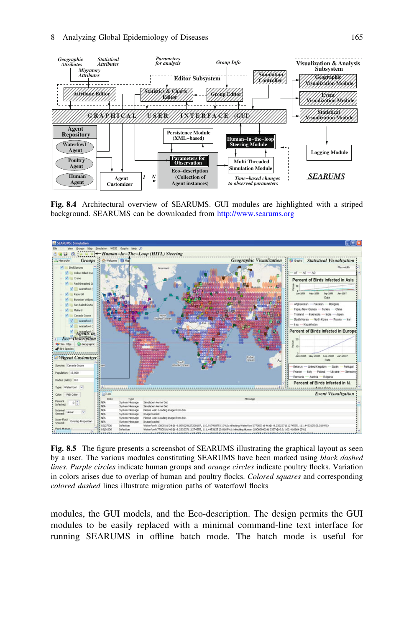<span id="page-12-0"></span>

Fig. 8.4 Architectural overview of SEARUMS. GUI modules are highlighted with a striped background. SEARUMS can be downloaded from <http://www.searums.org>



Fig. 8.5 The figure presents a screenshot of SEARUMS illustrating the graphical layout as seen by a user. The various modules constituting SEARUMS have been marked using black dashed lines. Purple circles indicate human groups and *orange circles* indicate poultry flocks. Variation in colors arises due to overlap of human and poultry flocks. Colored squares and corresponding colored dashed lines illustrate migration paths of waterfowl flocks

modules, the GUI models, and the Eco-description. The design permits the GUI modules to be easily replaced with a minimal command-line text interface for running SEARUMS in offline batch mode. The batch mode is useful for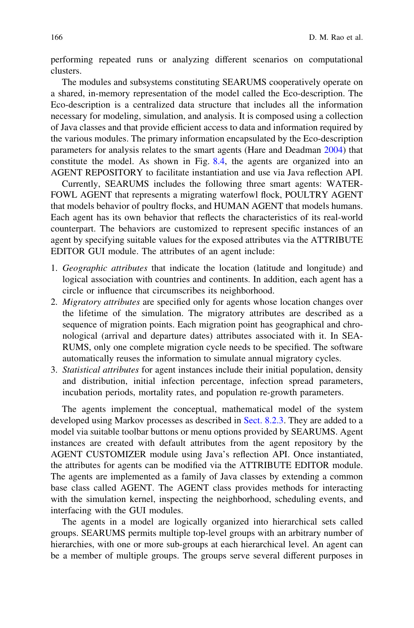performing repeated runs or analyzing different scenarios on computational clusters.

The modules and subsystems constituting SEARUMS cooperatively operate on a shared, in-memory representation of the model called the Eco-description. The Eco-description is a centralized data structure that includes all the information necessary for modeling, simulation, and analysis. It is composed using a collection of Java classes and that provide efficient access to data and information required by the various modules. The primary information encapsulated by the Eco-description parameters for analysis relates to the smart agents (Hare and Deadman [2004](#page-20-0)) that constitute the model. As shown in Fig. [8.4,](#page-12-0) the agents are organized into an AGENT REPOSITORY to facilitate instantiation and use via Java reflection API.

Currently, SEARUMS includes the following three smart agents: WATER-FOWL AGENT that represents a migrating waterfowl flock, POULTRY AGENT that models behavior of poultry flocks, and HUMAN AGENT that models humans. Each agent has its own behavior that reflects the characteristics of its real-world counterpart. The behaviors are customized to represent specific instances of an agent by specifying suitable values for the exposed attributes via the ATTRIBUTE EDITOR GUI module. The attributes of an agent include:

- 1. Geographic attributes that indicate the location (latitude and longitude) and logical association with countries and continents. In addition, each agent has a circle or influence that circumscribes its neighborhood.
- 2. Migratory attributes are specified only for agents whose location changes over the lifetime of the simulation. The migratory attributes are described as a sequence of migration points. Each migration point has geographical and chronological (arrival and departure dates) attributes associated with it. In SEA-RUMS, only one complete migration cycle needs to be specified. The software automatically reuses the information to simulate annual migratory cycles.
- 3. Statistical attributes for agent instances include their initial population, density and distribution, initial infection percentage, infection spread parameters, incubation periods, mortality rates, and population re-growth parameters.

The agents implement the conceptual, mathematical model of the system developed using Markov processes as described in [Sect. 8.2.3](#page-8-0). They are added to a model via suitable toolbar buttons or menu options provided by SEARUMS. Agent instances are created with default attributes from the agent repository by the AGENT CUSTOMIZER module using Java's reflection API. Once instantiated, the attributes for agents can be modified via the ATTRIBUTE EDITOR module. The agents are implemented as a family of Java classes by extending a common base class called AGENT. The AGENT class provides methods for interacting with the simulation kernel, inspecting the neighborhood, scheduling events, and interfacing with the GUI modules.

The agents in a model are logically organized into hierarchical sets called groups. SEARUMS permits multiple top-level groups with an arbitrary number of hierarchies, with one or more sub-groups at each hierarchical level. An agent can be a member of multiple groups. The groups serve several different purposes in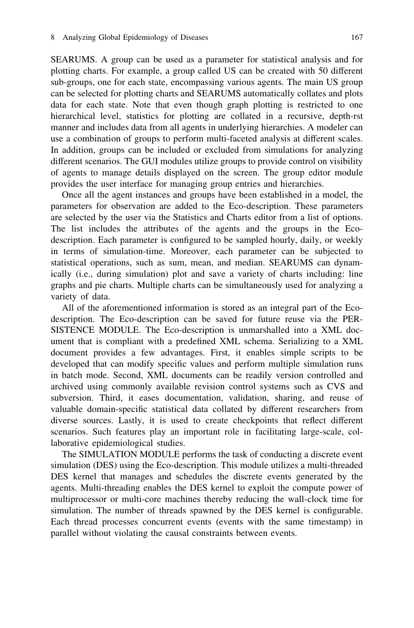SEARUMS. A group can be used as a parameter for statistical analysis and for plotting charts. For example, a group called US can be created with 50 different sub-groups, one for each state, encompassing various agents. The main US group can be selected for plotting charts and SEARUMS automatically collates and plots data for each state. Note that even though graph plotting is restricted to one hierarchical level, statistics for plotting are collated in a recursive, depth-rst manner and includes data from all agents in underlying hierarchies. A modeler can use a combination of groups to perform multi-faceted analysis at different scales. In addition, groups can be included or excluded from simulations for analyzing different scenarios. The GUI modules utilize groups to provide control on visibility of agents to manage details displayed on the screen. The group editor module provides the user interface for managing group entries and hierarchies.

Once all the agent instances and groups have been established in a model, the parameters for observation are added to the Eco-description. These parameters are selected by the user via the Statistics and Charts editor from a list of options. The list includes the attributes of the agents and the groups in the Ecodescription. Each parameter is configured to be sampled hourly, daily, or weekly in terms of simulation-time. Moreover, each parameter can be subjected to statistical operations, such as sum, mean, and median. SEARUMS can dynamically (i.e., during simulation) plot and save a variety of charts including: line graphs and pie charts. Multiple charts can be simultaneously used for analyzing a variety of data.

All of the aforementioned information is stored as an integral part of the Ecodescription. The Eco-description can be saved for future reuse via the PER-SISTENCE MODULE. The Eco-description is unmarshalled into a XML document that is compliant with a predefined XML schema. Serializing to a XML document provides a few advantages. First, it enables simple scripts to be developed that can modify specific values and perform multiple simulation runs in batch mode. Second, XML documents can be readily version controlled and archived using commonly available revision control systems such as CVS and subversion. Third, it eases documentation, validation, sharing, and reuse of valuable domain-specific statistical data collated by different researchers from diverse sources. Lastly, it is used to create checkpoints that reflect different scenarios. Such features play an important role in facilitating large-scale, collaborative epidemiological studies.

The SIMULATION MODULE performs the task of conducting a discrete event simulation (DES) using the Eco-description. This module utilizes a multi-threaded DES kernel that manages and schedules the discrete events generated by the agents. Multi-threading enables the DES kernel to exploit the compute power of multiprocessor or multi-core machines thereby reducing the wall-clock time for simulation. The number of threads spawned by the DES kernel is configurable. Each thread processes concurrent events (events with the same timestamp) in parallel without violating the causal constraints between events.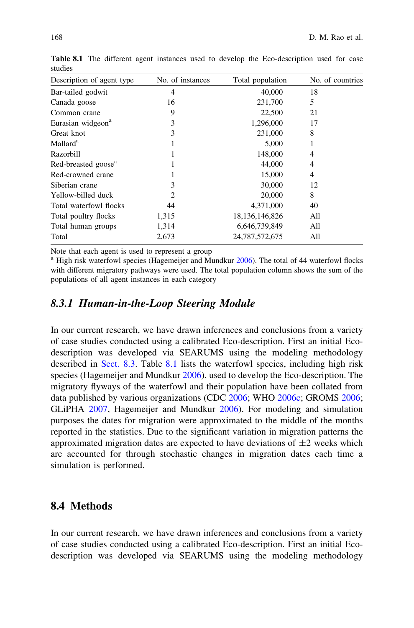| ouuuo                           |                  |                   |                  |  |
|---------------------------------|------------------|-------------------|------------------|--|
| Description of agent type       | No. of instances | Total population  | No. of countries |  |
| Bar-tailed godwit               | 4                | 40,000            | 18               |  |
| Canada goose                    | 16               | 231,700           | 5                |  |
| Common crane                    | 9                | 22,500            | 21               |  |
| Eurasian widgeon <sup>a</sup>   | 3                | 1,296,000         | 17               |  |
| Great knot                      | 3                | 231,000           | 8                |  |
| Mallard <sup>a</sup>            |                  | 5,000             |                  |  |
| Razorbill                       |                  | 148,000           | $\overline{4}$   |  |
| Red-breasted goose <sup>a</sup> |                  | 44,000            | 4                |  |
| Red-crowned crane               |                  | 15,000            | 4                |  |
| Siberian crane                  | 3                | 30,000            | 12               |  |
| Yellow-billed duck              | 2                | 20,000            | 8                |  |
| Total waterfowl flocks          | 44               | 4,371,000         | 40               |  |
| Total poultry flocks            | 1,315            | 18, 136, 146, 826 | All              |  |
| Total human groups              | 1,314            | 6,646,739,849     | All              |  |
| Total                           | 2,673            | 24.787.572.675    | All              |  |
|                                 |                  |                   |                  |  |

<span id="page-15-0"></span>Table 8.1 The different agent instances used to develop the Eco-description used for case studies

Note that each agent is used to represent a group

 $a$  High risk waterfowl species (Hagemeijer and Mundkur [2006\)](#page-20-0). The total of 44 waterfowl flocks with different migratory pathways were used. The total population column shows the sum of the populations of all agent instances in each category

#### 8.3.1 Human-in-the-Loop Steering Module

In our current research, we have drawn inferences and conclusions from a variety of case studies conducted using a calibrated Eco-description. First an initial Ecodescription was developed via SEARUMS using the modeling methodology described in [Sect. 8.3](#page-11-0). Table 8.1 lists the waterfowl species, including high risk species (Hagemeijer and Mundkur [2006\)](#page-20-0), used to develop the Eco-description. The migratory flyways of the waterfowl and their population have been collated from data published by various organizations (CDC [2006;](#page-19-0) WHO [2006c](#page-21-0); GROMS [2006;](#page-20-0) GLiPHA [2007](#page-20-0), Hagemeijer and Mundkur [2006](#page-20-0)). For modeling and simulation purposes the dates for migration were approximated to the middle of the months reported in the statistics. Due to the significant variation in migration patterns the approximated migration dates are expected to have deviations of  $\pm 2$  weeks which are accounted for through stochastic changes in migration dates each time a simulation is performed.

# 8.4 Methods

In our current research, we have drawn inferences and conclusions from a variety of case studies conducted using a calibrated Eco-description. First an initial Ecodescription was developed via SEARUMS using the modeling methodology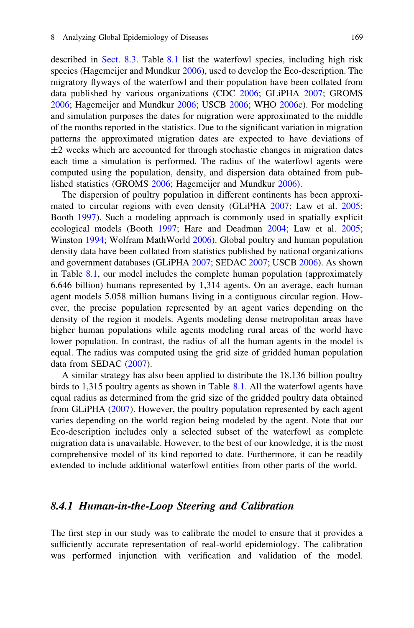described in [Sect. 8.3.](#page-11-0) Table [8.1](#page-15-0) list the waterfowl species, including high risk species (Hagemeijer and Mundkur [2006\)](#page-20-0), used to develop the Eco-description. The migratory flyways of the waterfowl and their population have been collated from data published by various organizations (CDC [2006;](#page-19-0) GLiPHA [2007;](#page-20-0) GROMS [2006;](#page-20-0) Hagemeijer and Mundkur [2006](#page-20-0); USCB [2006;](#page-21-0) WHO [2006c](#page-21-0)). For modeling and simulation purposes the dates for migration were approximated to the middle of the months reported in the statistics. Due to the significant variation in migration patterns the approximated migration dates are expected to have deviations of  $\pm$ 2 weeks which are accounted for through stochastic changes in migration dates each time a simulation is performed. The radius of the waterfowl agents were computed using the population, density, and dispersion data obtained from published statistics (GROMS [2006;](#page-20-0) Hagemeijer and Mundkur [2006](#page-20-0)).

The dispersion of poultry population in different continents has been approximated to circular regions with even density (GLiPHA [2007](#page-20-0); Law et al. [2005;](#page-20-0) Booth [1997](#page-19-0)). Such a modeling approach is commonly used in spatially explicit ecological models (Booth [1997;](#page-19-0) Hare and Deadman [2004;](#page-20-0) Law et al. [2005;](#page-20-0) Winston [1994;](#page-21-0) Wolfram MathWorld [2006\)](#page-21-0). Global poultry and human population density data have been collated from statistics published by national organizations and government databases (GLiPHA [2007;](#page-20-0) SEDAC [2007](#page-21-0); USCB [2006\)](#page-21-0). As shown in Table [8.1,](#page-15-0) our model includes the complete human population (approximately 6.646 billion) humans represented by 1,314 agents. On an average, each human agent models 5.058 million humans living in a contiguous circular region. However, the precise population represented by an agent varies depending on the density of the region it models. Agents modeling dense metropolitan areas have higher human populations while agents modeling rural areas of the world have lower population. In contrast, the radius of all the human agents in the model is equal. The radius was computed using the grid size of gridded human population data from SEDAC ([2007\)](#page-21-0).

A similar strategy has also been applied to distribute the 18.136 billion poultry birds to 1,315 poultry agents as shown in Table [8.1.](#page-15-0) All the waterfowl agents have equal radius as determined from the grid size of the gridded poultry data obtained from GLiPHA [\(2007](#page-20-0)). However, the poultry population represented by each agent varies depending on the world region being modeled by the agent. Note that our Eco-description includes only a selected subset of the waterfowl as complete migration data is unavailable. However, to the best of our knowledge, it is the most comprehensive model of its kind reported to date. Furthermore, it can be readily extended to include additional waterfowl entities from other parts of the world.

#### 8.4.1 Human-in-the-Loop Steering and Calibration

The first step in our study was to calibrate the model to ensure that it provides a sufficiently accurate representation of real-world epidemiology. The calibration was performed injunction with verification and validation of the model.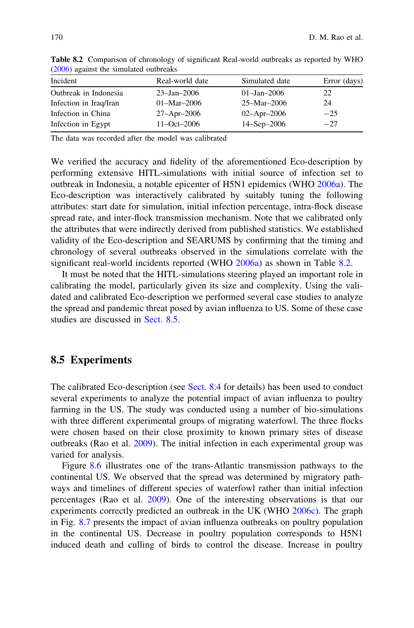| Incident               | Real-world date          | Simulated date           | Error (days) |  |
|------------------------|--------------------------|--------------------------|--------------|--|
| Outbreak in Indonesia  | $23 - Jan - 2006$        | $01 - Jan - 2006$        | 22           |  |
| Infection in Iraq/Iran | $01 - \text{Mar} - 2006$ | $25 - \text{Mar} - 2006$ | 24           |  |
| Infection in China     | $27 - Apr - 2006$        | $02 -$ Apr $-2006$       | $-25$        |  |
| Infection in Egypt     | $11 - Oct - 2006$        | $14 -$ Sep $-2006$       | $-27$        |  |
|                        |                          |                          |              |  |

<span id="page-17-0"></span>Table 8.2 Comparison of chronology of significant Real-world outbreaks as reported by WHO ([2006\)](#page-21-0) against the simulated outbreaks

The data was recorded after the model was calibrated

We verified the accuracy and fidelity of the aforementioned Eco-description by performing extensive HITL-simulations with initial source of infection set to outbreak in Indonesia, a notable epicenter of H5N1 epidemics (WHO [2006a](#page-21-0)). The Eco-description was interactively calibrated by suitably tuning the following attributes: start date for simulation, initial infection percentage, intra-flock disease spread rate, and inter-flock transmission mechanism. Note that we calibrated only the attributes that were indirectly derived from published statistics. We established validity of the Eco-description and SEARUMS by confirming that the timing and chronology of several outbreaks observed in the simulations correlate with the significant real-world incidents reported (WHO [2006a\)](#page-21-0) as shown in Table 8.2.

It must be noted that the HITL-simulations steering played an important role in calibrating the model, particularly given its size and complexity. Using the validated and calibrated Eco-description we performed several case studies to analyze the spread and pandemic threat posed by avian influenza to US. Some of these case studies are discussed in Sect. 8.5.

#### 8.5 Experiments

The calibrated Eco-description (see [Sect. 8.4](#page-15-0) for details) has been used to conduct several experiments to analyze the potential impact of avian influenza to poultry farming in the US. The study was conducted using a number of bio-simulations with three different experimental groups of migrating waterfowl. The three flocks were chosen based on their close proximity to known primary sites of disease outbreaks (Rao et al. [2009\)](#page-21-0). The initial infection in each experimental group was varied for analysis.

Figure [8.6](#page-18-0) illustrates one of the trans-Atlantic transmission pathways to the continental US. We observed that the spread was determined by migratory pathways and timelines of different species of waterfowl rather than initial infection percentages (Rao et al. [2009\)](#page-21-0). One of the interesting observations is that our experiments correctly predicted an outbreak in the UK (WHO [2006c\)](#page-21-0). The graph in Fig. [8.7](#page-18-0) presents the impact of avian influenza outbreaks on poultry population in the continental US. Decrease in poultry population corresponds to H5N1 induced death and culling of birds to control the disease. Increase in poultry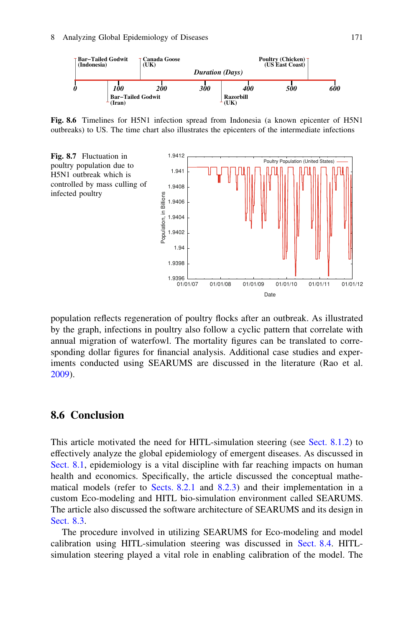<span id="page-18-0"></span>

Fig. 8.6 Timelines for H5N1 infection spread from Indonesia (a known epicenter of H5N1 outbreaks) to US. The time chart also illustrates the epicenters of the intermediate infections



population reflects regeneration of poultry flocks after an outbreak. As illustrated by the graph, infections in poultry also follow a cyclic pattern that correlate with annual migration of waterfowl. The mortality figures can be translated to corresponding dollar figures for financial analysis. Additional case studies and experiments conducted using SEARUMS are discussed in the literature (Rao et al. [2009\)](#page-21-0).

#### 8.6 Conclusion

This article motivated the need for HITL-simulation steering (see [Sect. 8.1.2\)](#page-3-0) to effectively analyze the global epidemiology of emergent diseases. As discussed in [Sect. 8.1,](#page-1-0) epidemiology is a vital discipline with far reaching impacts on human health and economics. Specifically, the article discussed the conceptual mathematical models (refer to [Sects. 8.2.1](#page-5-0) and [8.2.3](#page-8-0)) and their implementation in a custom Eco-modeling and HITL bio-simulation environment called SEARUMS. The article also discussed the software architecture of SEARUMS and its design in [Sect. 8.3](#page-11-0).

The procedure involved in utilizing SEARUMS for Eco-modeling and model calibration using HITL-simulation steering was discussed in [Sect. 8.4.](#page-15-0) HITLsimulation steering played a vital role in enabling calibration of the model. The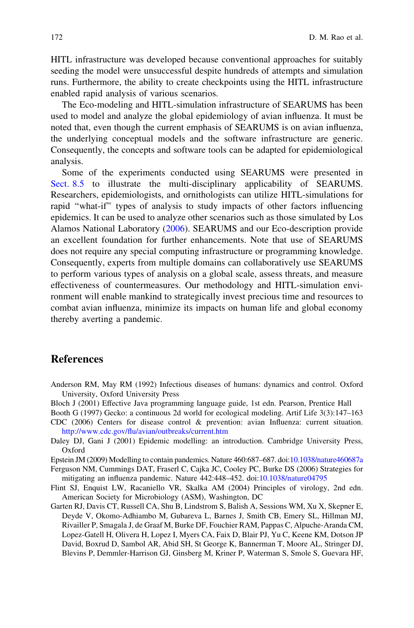<span id="page-19-0"></span>HITL infrastructure was developed because conventional approaches for suitably seeding the model were unsuccessful despite hundreds of attempts and simulation runs. Furthermore, the ability to create checkpoints using the HITL infrastructure enabled rapid analysis of various scenarios.

The Eco-modeling and HITL-simulation infrastructure of SEARUMS has been used to model and analyze the global epidemiology of avian influenza. It must be noted that, even though the current emphasis of SEARUMS is on avian influenza, the underlying conceptual models and the software infrastructure are generic. Consequently, the concepts and software tools can be adapted for epidemiological analysis.

Some of the experiments conducted using SEARUMS were presented in [Sect. 8.5](#page-17-0) to illustrate the multi-disciplinary applicability of SEARUMS. Researchers, epidemiologists, and ornithologists can utilize HITL-simulations for rapid ''what-if'' types of analysis to study impacts of other factors influencing epidemics. It can be used to analyze other scenarios such as those simulated by Los Alamos National Laboratory [\(2006](#page-20-0)). SEARUMS and our Eco-description provide an excellent foundation for further enhancements. Note that use of SEARUMS does not require any special computing infrastructure or programming knowledge. Consequently, experts from multiple domains can collaboratively use SEARUMS to perform various types of analysis on a global scale, assess threats, and measure effectiveness of countermeasures. Our methodology and HITL-simulation environment will enable mankind to strategically invest precious time and resources to combat avian influenza, minimize its impacts on human life and global economy thereby averting a pandemic.

#### References

- Anderson RM, May RM (1992) Infectious diseases of humans: dynamics and control. Oxford University, Oxford University Press
- Bloch J (2001) Effective Java programming language guide, 1st edn. Pearson, Prentice Hall
- Booth G (1997) Gecko: a continuous 2d world for ecological modeling. Artif Life 3(3):147–163 CDC (2006) Centers for disease control & prevention: avian Influenza: current situation.
- <http://www.cdc.gov/flu/avian/outbreaks/current.htm>
- Daley DJ, Gani J (2001) Epidemic modelling: an introduction. Cambridge University Press, Oxford
- Epstein JM (2009) Modelling to contain pandemics. Nature 460:687–687. doi:[10.1038/nature460687a](http://dx.doi.org/10.1038/nature460687a)
- Ferguson NM, Cummings DAT, Fraserl C, Cajka JC, Cooley PC, Burke DS (2006) Strategies for mitigating an influenza pandemic. Nature 442:448–452. doi[:10.1038/nature04795](http://dx.doi.org/10.1038/nature04795)
- Flint SJ, Enquist LW, Racaniello VR, Skalka AM (2004) Principles of virology, 2nd edn. American Society for Microbiology (ASM), Washington, DC
- Garten RJ, Davis CT, Russell CA, Shu B, Lindstrom S, Balish A, Sessions WM, Xu X, Skepner E, Deyde V, Okomo-Adhiambo M, Gubareva L, Barnes J, Smith CB, Emery SL, Hillman MJ, Rivailler P, Smagala J, de Graaf M, Burke DF, Fouchier RAM, Pappas C, Alpuche-Aranda CM, Lopez-Gatell H, Olivera H, Lopez I, Myers CA, Faix D, Blair PJ, Yu C, Keene KM, Dotson JP David, Boxrud D, Sambol AR, Abid SH, St George K, Bannerman T, Moore AL, Stringer DJ, Blevins P, Demmler-Harrison GJ, Ginsberg M, Kriner P, Waterman S, Smole S, Guevara HF,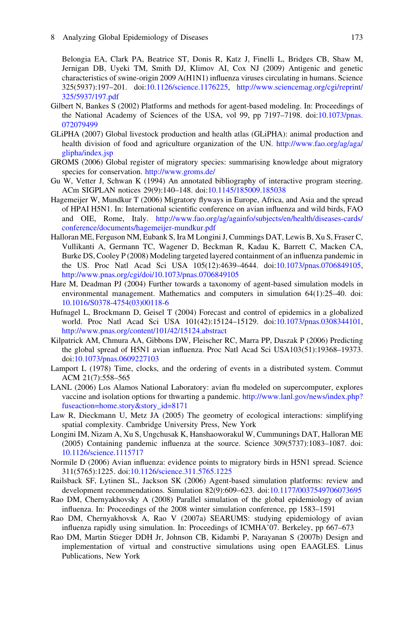<span id="page-20-0"></span>Belongia EA, Clark PA, Beatrice ST, Donis R, Katz J, Finelli L, Bridges CB, Shaw M, Jernigan DB, Uyeki TM, Smith DJ, Klimov AI, Cox NJ (2009) Antigenic and genetic characteristics of swine-origin 2009 A(H1N1) influenza viruses circulating in humans. Science 325(5937):197–201. doi:[10.1126/science.1176225](http://DOI:10.1126/science.1176225), [http://www.sciencemag.org/cgi/reprint/](http://www.sciencemag.org/cgi/reprint/325/5937/197.pdf) [325/5937/197.pdf](http://www.sciencemag.org/cgi/reprint/325/5937/197.pdf)

- Gilbert N, Bankes S (2002) Platforms and methods for agent-based modeling. In: Proceedings of the National Academy of Sciences of the USA, vol 99, pp 7197–7198. doi:[10.1073/pnas.](http://DOI:10.1073/pnas.072079499) [072079499](http://DOI:10.1073/pnas.072079499)
- GLiPHA (2007) Global livestock production and health atlas (GLiPHA): animal production and health division of food and agriculture organization of the UN. [http://www.fao.org/ag/aga/](http://www.fao.org/ag/aga/glipha/index.jsp) [glipha/index.jsp](http://www.fao.org/ag/aga/glipha/index.jsp)
- GROMS (2006) Global register of migratory species: summarising knowledge about migratory species for conservation. <http://www.groms.de/>
- Gu W, Vetter J, Schwan K (1994) An annotated bibliography of interactive program steering. ACm SIGPLAN notices 29(9):140–148. doi:[10.1145/185009.185038](http://doi.acm.org/10.1145/185009.185038)
- Hagemeijer W, Mundkur T (2006) Migratory flyways in Europe, Africa, and Asia and the spread of HPAI H5N1. In: International scientific conference on avian influenza and wild birds, FAO and OIE, Rome, Italy. [http://www.fao.org/ag/againfo/subjects/en/health/diseases-cards/](http://www.fao.org/ag/againfo/subjects/en/health/diseases-cards/conference/documents/hagemeijer-mundkur.pdf) [conference/documents/hagemeijer-mundkur.pdf](http://www.fao.org/ag/againfo/subjects/en/health/diseases-cards/conference/documents/hagemeijer-mundkur.pdf)
- Halloran ME, Ferguson NM, Eubank S, Ira M Longini J, Cummings DAT, Lewis B, Xu S, Fraser C, Vullikanti A, Germann TC, Wagener D, Beckman R, Kadau K, Barrett C, Macken CA, Burke DS, Cooley P (2008) Modeling targeted layered containment of an influenza pandemic in the US. Proc Natl Acad Sci USA 105(12):4639–4644. doi[:10.1073/pnas.0706849105](http://DOI:10.1073/pnas.0706849105), <http://www.pnas.org/cgi/doi/10.1073/pnas.0706849105>
- Hare M, Deadman PJ (2004) Further towards a taxonomy of agent-based simulation models in environmental management. Mathematics and computers in simulation 64(1):25–40. doi: [10.1016/S0378-4754\(03\)00118-6](http://dx.doi.org/10.1016/S0378-4754(03)00118-6)
- Hufnagel L, Brockmann D, Geisel T (2004) Forecast and control of epidemics in a globalized world. Proc Natl Acad Sci USA 101(42):15124–15129. doi[:10.1073/pnas.0308344101](http://DOI:10.1073/pnas.0308344101), <http://www.pnas.org/content/101/42/15124.abstract>
- Kilpatrick AM, Chmura AA, Gibbons DW, Fleischer RC, Marra PP, Daszak P (2006) Predicting the global spread of H5N1 avian influenza. Proc Natl Acad Sci USA103(51):19368–19373. doi:[10.1073/pnas.0609227103](http://DOI:10.1073/pnas.0609227103)
- Lamport L (1978) Time, clocks, and the ordering of events in a distributed system. Commut ACM 21(7):558–565
- LANL (2006) Los Alamos National Laboratory: avian flu modeled on supercomputer, explores vaccine and isolation options for thwarting a pandemic. [http://www.lanl.gov/news/index.php?](http://www.lanl.gov/news/index.php?fuseaction=home.story&story_id=8171) [fuseaction=home.story&story\\_id=8171](http://www.lanl.gov/news/index.php?fuseaction=home.story&story_id=8171)
- Law R, Dieckmann U, Metz JA (2005) The geometry of ecological interactions: simplifying spatial complexity. Cambridge University Press, New York
- Longini IM, Nizam A, Xu S, Ungchusak K, Hanshaoworakul W, Cummunings DAT, Halloran ME (2005) Containing pandemic influenza at the source. Science 309(5737):1083–1087. doi: [10.1126/science.1115717](http://dx.doi.org/10.1126/science.1115717)
- Normile D (2006) Avian influenza: evidence points to migratory birds in H5N1 spread. Science 311(5765):1225. doi:[10.1126/science.311.5765.1225](http://dx.doi.org/10.1126/science.311.5765.1225)
- Railsback SF, Lytinen SL, Jackson SK (2006) Agent-based simulation platforms: review and development recommendations. Simulation 82(9):609–623. doi:[10.1177/0037549706073695](http://dx.doi.org/10.1177/0037549706073695)
- Rao DM, Chernyakhovsky A (2008) Parallel simulation of the global epidemiology of avian influenza. In: Proceedings of the 2008 winter simulation conference, pp 1583–1591
- Rao DM, Chernyakhovsk A, Rao V (2007a) SEARUMS: studying epidemiology of avian influenza rapidly using simulation. In: Proceedings of ICMHA'07. Berkeley, pp 667–673
- Rao DM, Martin Stieger DDH Jr, Johnson CB, Kidambi P, Narayanan S (2007b) Design and implementation of virtual and constructive simulations using open EAAGLES. Linus Publications, New York